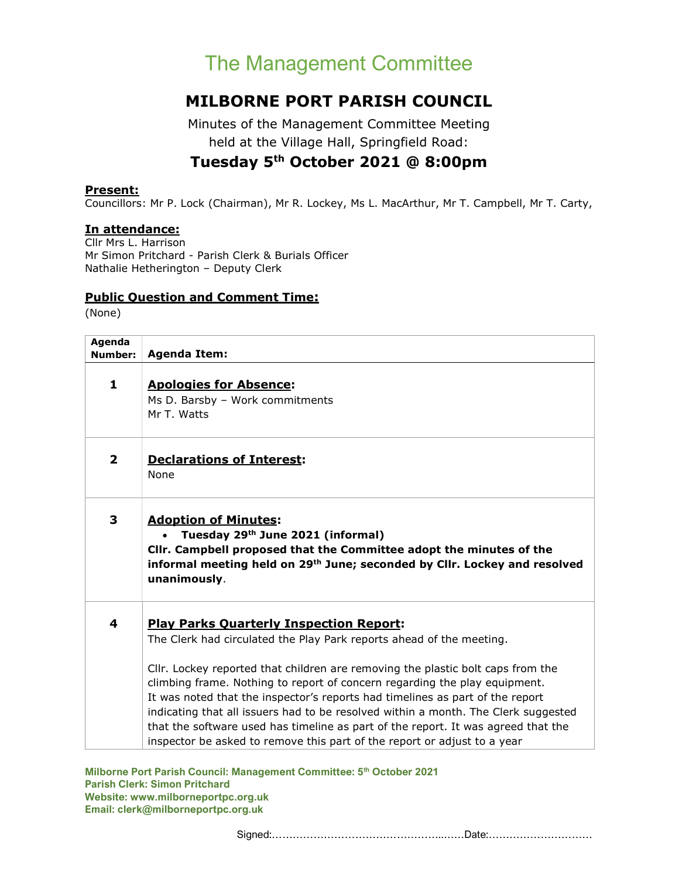# The Management Committee

## MILBORNE PORT PARISH COUNCIL

Minutes of the Management Committee Meeting held at the Village Hall, Springfield Road:

## Tuesday 5th October 2021 @ 8:00pm

#### Present:

Councillors: Mr P. Lock (Chairman), Mr R. Lockey, Ms L. MacArthur, Mr T. Campbell, Mr T. Carty,

#### In attendance:

Cllr Mrs L. Harrison Mr Simon Pritchard - Parish Clerk & Burials Officer Nathalie Hetherington – Deputy Clerk

#### Public Question and Comment Time:

(None)

| Agenda<br>Number:       | <b>Agenda Item:</b>                                                                                                                                                                                                                                                                                                                                                                                                                                                                                                                                                                                                             |
|-------------------------|---------------------------------------------------------------------------------------------------------------------------------------------------------------------------------------------------------------------------------------------------------------------------------------------------------------------------------------------------------------------------------------------------------------------------------------------------------------------------------------------------------------------------------------------------------------------------------------------------------------------------------|
| 1                       | <b>Apologies for Absence:</b><br>Ms D. Barsby - Work commitments<br>Mr T. Watts                                                                                                                                                                                                                                                                                                                                                                                                                                                                                                                                                 |
| $\overline{\mathbf{2}}$ | <b>Declarations of Interest:</b><br>None                                                                                                                                                                                                                                                                                                                                                                                                                                                                                                                                                                                        |
| 3                       | <b>Adoption of Minutes:</b><br>Tuesday 29th June 2021 (informal)<br>Cllr. Campbell proposed that the Committee adopt the minutes of the<br>informal meeting held on 29 <sup>th</sup> June; seconded by Cllr. Lockey and resolved<br>unanimously.                                                                                                                                                                                                                                                                                                                                                                                |
| 4                       | <b>Play Parks Quarterly Inspection Report:</b><br>The Clerk had circulated the Play Park reports ahead of the meeting.<br>Cllr. Lockey reported that children are removing the plastic bolt caps from the<br>climbing frame. Nothing to report of concern regarding the play equipment.<br>It was noted that the inspector's reports had timelines as part of the report<br>indicating that all issuers had to be resolved within a month. The Clerk suggested<br>that the software used has timeline as part of the report. It was agreed that the<br>inspector be asked to remove this part of the report or adjust to a year |

Milborne Port Parish Council: Management Committee: 5<sup>th</sup> October 2021 Parish Clerk: Simon Pritchard Website: www.milborneportpc.org.uk Email: clerk@milborneportpc.org.uk

Signed:…………………………………………..……Date:…………………………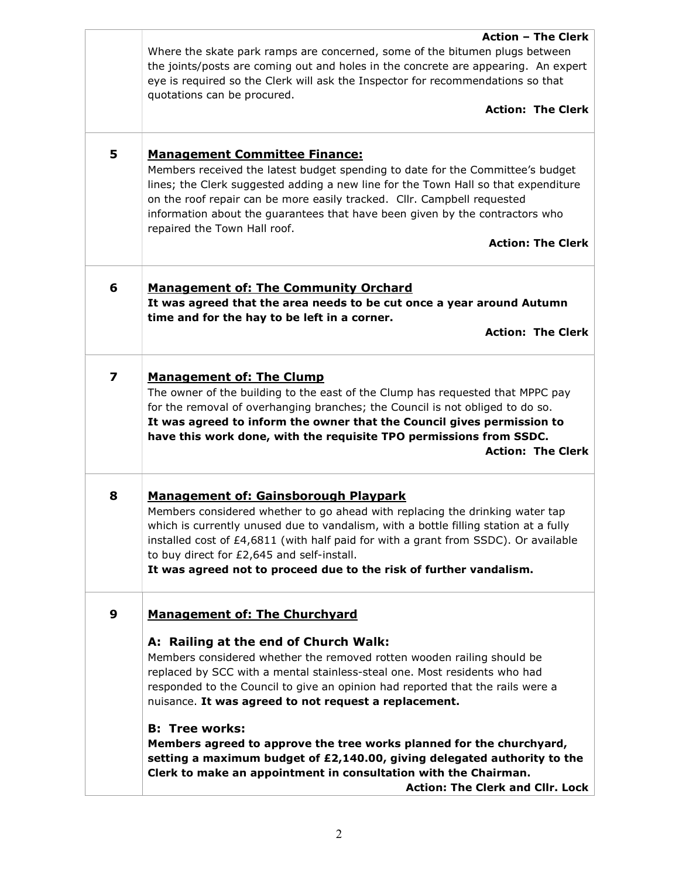|   | <b>Action - The Clerk</b><br>Where the skate park ramps are concerned, some of the bitumen plugs between                                                                                                                                                                                                                                                                                                                            |
|---|-------------------------------------------------------------------------------------------------------------------------------------------------------------------------------------------------------------------------------------------------------------------------------------------------------------------------------------------------------------------------------------------------------------------------------------|
|   | the joints/posts are coming out and holes in the concrete are appearing. An expert<br>eye is required so the Clerk will ask the Inspector for recommendations so that<br>quotations can be procured.                                                                                                                                                                                                                                |
|   | <b>Action: The Clerk</b>                                                                                                                                                                                                                                                                                                                                                                                                            |
| 5 | <b>Management Committee Finance:</b><br>Members received the latest budget spending to date for the Committee's budget<br>lines; the Clerk suggested adding a new line for the Town Hall so that expenditure<br>on the roof repair can be more easily tracked. Cllr. Campbell requested<br>information about the guarantees that have been given by the contractors who<br>repaired the Town Hall roof.<br><b>Action: The Clerk</b> |
| 6 | <b>Management of: The Community Orchard</b><br>It was agreed that the area needs to be cut once a year around Autumn<br>time and for the hay to be left in a corner.<br><b>Action: The Clerk</b>                                                                                                                                                                                                                                    |
|   |                                                                                                                                                                                                                                                                                                                                                                                                                                     |
| 7 | <b>Management of: The Clump</b><br>The owner of the building to the east of the Clump has requested that MPPC pay<br>for the removal of overhanging branches; the Council is not obliged to do so.<br>It was agreed to inform the owner that the Council gives permission to<br>have this work done, with the requisite TPO permissions from SSDC.<br><b>Action: The Clerk</b>                                                      |
| 8 | <b>Management of: Gainsborough Playpark</b><br>Members considered whether to go ahead with replacing the drinking water tap<br>which is currently unused due to vandalism, with a bottle filling station at a fully<br>installed cost of £4,6811 (with half paid for with a grant from SSDC). Or available<br>to buy direct for £2,645 and self-install.<br>It was agreed not to proceed due to the risk of further vandalism.      |
| 9 | <b>Management of: The Churchyard</b>                                                                                                                                                                                                                                                                                                                                                                                                |
|   | A: Railing at the end of Church Walk:<br>Members considered whether the removed rotten wooden railing should be<br>replaced by SCC with a mental stainless-steal one. Most residents who had<br>responded to the Council to give an opinion had reported that the rails were a<br>nuisance. It was agreed to not request a replacement.                                                                                             |
|   | <b>B: Tree works:</b><br>Members agreed to approve the tree works planned for the churchyard,<br>setting a maximum budget of £2,140.00, giving delegated authority to the<br>Clerk to make an appointment in consultation with the Chairman.<br>Action: The Clerk and Cllr. Lock                                                                                                                                                    |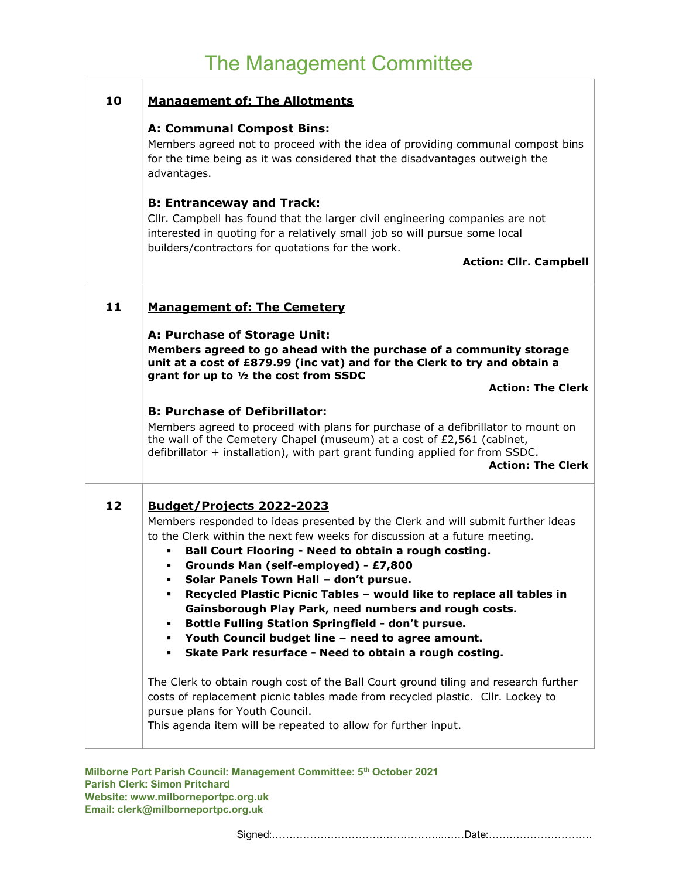#### 10 | Management of: The Allotments

#### A: Communal Compost Bins:

Members agreed not to proceed with the idea of providing communal compost bins for the time being as it was considered that the disadvantages outweigh the advantages.

#### B: Entranceway and Track:

Cllr. Campbell has found that the larger civil engineering companies are not interested in quoting for a relatively small job so will pursue some local builders/contractors for quotations for the work.

Action: Cllr. Campbell

#### 11 | Management of: The Cemetery

#### A: Purchase of Storage Unit:

Members agreed to go ahead with the purchase of a community storage unit at a cost of £879.99 (inc vat) and for the Clerk to try and obtain a grant for up to ½ the cost from SSDC

Action: The Clerk

#### B: Purchase of Defibrillator:

Members agreed to proceed with plans for purchase of a defibrillator to mount on the wall of the Cemetery Chapel (museum) at a cost of £2,561 (cabinet, defibrillator + installation), with part grant funding applied for from SSDC.

#### Action: The Clerk

#### 12 Budget/Projects 2022-2023

Members responded to ideas presented by the Clerk and will submit further ideas to the Clerk within the next few weeks for discussion at a future meeting.

- Ball Court Flooring Need to obtain a rough costing.
- Grounds Man (self-employed) £7,800
- Solar Panels Town Hall don't pursue.
- Recycled Plastic Picnic Tables would like to replace all tables in Gainsborough Play Park, need numbers and rough costs.
- Bottle Fulling Station Springfield don't pursue.
- Youth Council budget line need to agree amount.
- Skate Park resurface Need to obtain a rough costing.

The Clerk to obtain rough cost of the Ball Court ground tiling and research further costs of replacement picnic tables made from recycled plastic. Cllr. Lockey to pursue plans for Youth Council.

This agenda item will be repeated to allow for further input.

Milborne Port Parish Council: Management Committee: 5<sup>th</sup> October 2021 Parish Clerk: Simon Pritchard Website: www.milborneportpc.org.uk Email: clerk@milborneportpc.org.uk

Signed:…………………………………………..……Date:…………………………